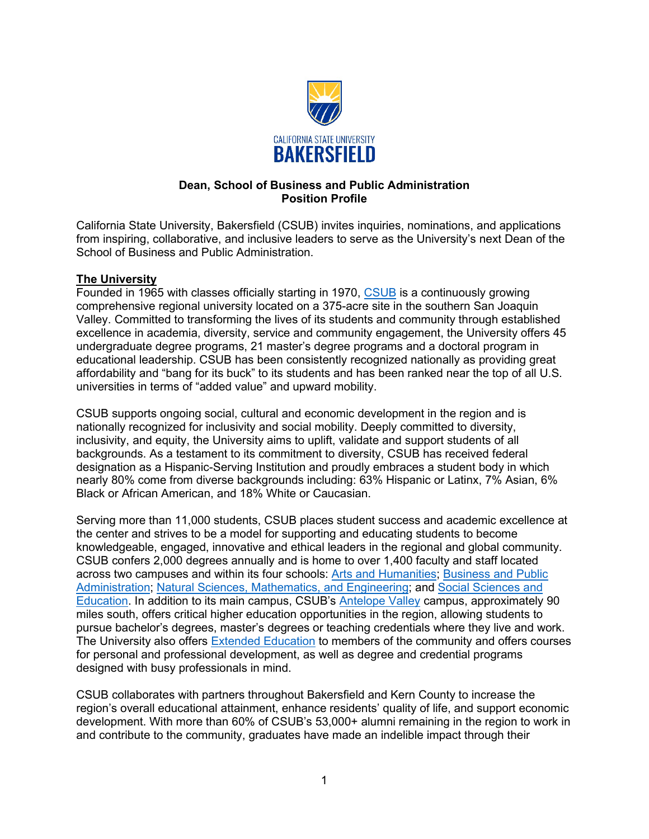

## **Dean, School of Business and Public Administration Position Profile**

California State University, Bakersfield (CSUB) invites inquiries, nominations, and applications from inspiring, collaborative, and inclusive leaders to serve as the University's next Dean of the School of Business and Public Administration.

## **The University**

Founded in 1965 with classes officially starting in 1970, [CSUB](https://www.csub.edu/) is a continuously growing comprehensive regional university located on a 375-acre site in the southern San Joaquin Valley. Committed to transforming the lives of its students and community through established excellence in academia, diversity, service and community engagement, the University offers 45 undergraduate degree programs, 21 master's degree programs and a doctoral program in educational leadership. CSUB has been consistently recognized nationally as providing great affordability and "bang for its buck" to its students and has been ranked near the top of all U.S. universities in terms of "added value" and upward mobility.

CSUB supports ongoing social, cultural and economic development in the region and is nationally recognized for inclusivity and social mobility. Deeply committed to diversity, inclusivity, and equity, the University aims to uplift, validate and support students of all backgrounds. As a testament to its commitment to diversity, CSUB has received federal designation as a Hispanic-Serving Institution and proudly embraces a student body in which nearly 80% come from diverse backgrounds including: 63% Hispanic or Latinx, 7% Asian, 6% Black or African American, and 18% White or Caucasian.

Serving more than 11,000 students, CSUB places student success and academic excellence at the center and strives to be a model for supporting and educating students to become knowledgeable, engaged, innovative and ethical leaders in the regional and global community. CSUB confers 2,000 degrees annually and is home to over 1,400 faculty and staff located across two campuses and within its four schools: [Arts and Humanities;](https://www.csub.edu/ah) [Business and Public](https://bpa.csub.edu/)  [Administration;](https://bpa.csub.edu/) [Natural Sciences, Mathematics, and Engineering;](https://www.csub.edu/nsme) and Social Sciences and [Education.](https://www.csub.edu/sse/) In addition to its main campus, CSUB's [Antelope Valley](https://www.csub.edu/av/) campus, approximately 90 miles south, offers critical higher education opportunities in the region, allowing students to pursue bachelor's degrees, master's degrees or teaching credentials where they live and work. The University also offers **Extended Education** to members of the community and offers courses for personal and professional development, as well as degree and credential programs designed with busy professionals in mind.

CSUB collaborates with partners throughout Bakersfield and Kern County to increase the region's overall educational attainment, enhance residents' quality of life, and support economic development. With more than 60% of CSUB's 53,000+ alumni remaining in the region to work in and contribute to the community, graduates have made an indelible impact through their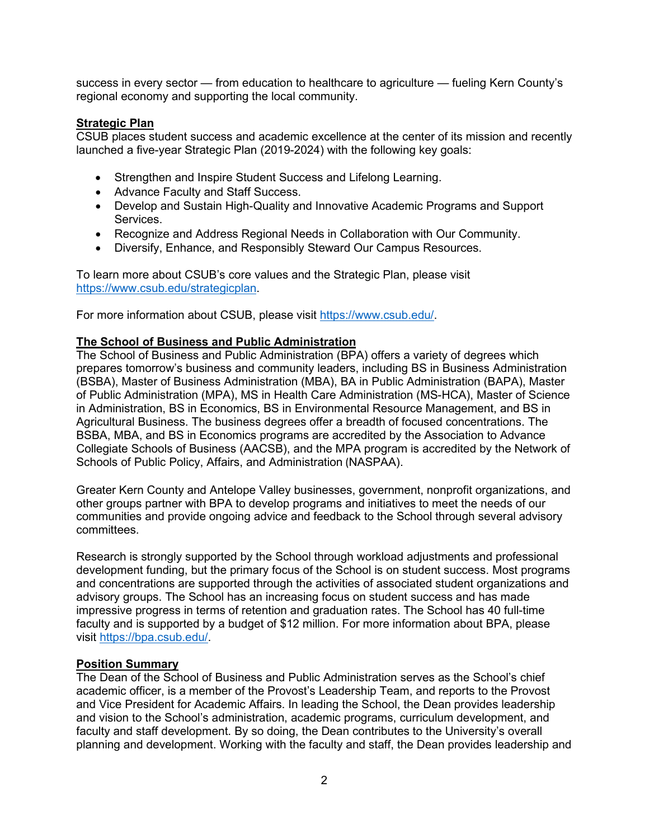success in every sector — from education to healthcare to agriculture — fueling Kern County's regional economy and supporting the local community.

#### **Strategic Plan**

CSUB places student success and academic excellence at the center of its mission and recently launched a five-year Strategic Plan (2019-2024) with the following key goals:

- Strengthen and Inspire Student Success and Lifelong Learning.
- Advance Faculty and Staff Success.
- Develop and Sustain High-Quality and Innovative Academic Programs and Support Services.
- Recognize and Address Regional Needs in Collaboration with Our Community.
- Diversify, Enhance, and Responsibly Steward Our Campus Resources.

To learn more about CSUB's core values and the Strategic Plan, please visit [https://www.csub.edu/strategicplan.](https://www.csub.edu/strategicplan)

For more information about CSUB, please visit [https://www.csub.edu/.](https://www.csub.edu/)

#### **The School of Business and Public Administration**

The School of Business and Public Administration (BPA) offers a variety of degrees which prepares tomorrow's business and community leaders, including BS in Business Administration (BSBA), Master of Business Administration (MBA), BA in Public Administration (BAPA), Master of Public Administration (MPA), MS in Health Care Administration (MS-HCA), Master of Science in Administration, BS in Economics, BS in Environmental Resource Management, and BS in Agricultural Business. The business degrees offer a breadth of focused concentrations. The BSBA, MBA, and BS in Economics programs are accredited by the Association to Advance Collegiate Schools of Business (AACSB), and the MPA program is accredited by the Network of Schools of Public Policy, Affairs, and Administration (NASPAA).

Greater Kern County and Antelope Valley businesses, government, nonprofit organizations, and other groups partner with BPA to develop programs and initiatives to meet the needs of our communities and provide ongoing advice and feedback to the School through several advisory committees.

Research is strongly supported by the School through workload adjustments and professional development funding, but the primary focus of the School is on student success. Most programs and concentrations are supported through the activities of associated student organizations and advisory groups. The School has an increasing focus on student success and has made impressive progress in terms of retention and graduation rates. The School has 40 full-time faculty and is supported by a budget of \$12 million. For more information about BPA, please visit [https://bpa.csub.edu/.](https://bpa.csub.edu/)

#### **Position Summary**

The Dean of the School of Business and Public Administration serves as the School's chief academic officer, is a member of the Provost's Leadership Team, and reports to the Provost and Vice President for Academic Affairs. In leading the School, the Dean provides leadership and vision to the School's administration, academic programs, curriculum development, and faculty and staff development. By so doing, the Dean contributes to the University's overall planning and development. Working with the faculty and staff, the Dean provides leadership and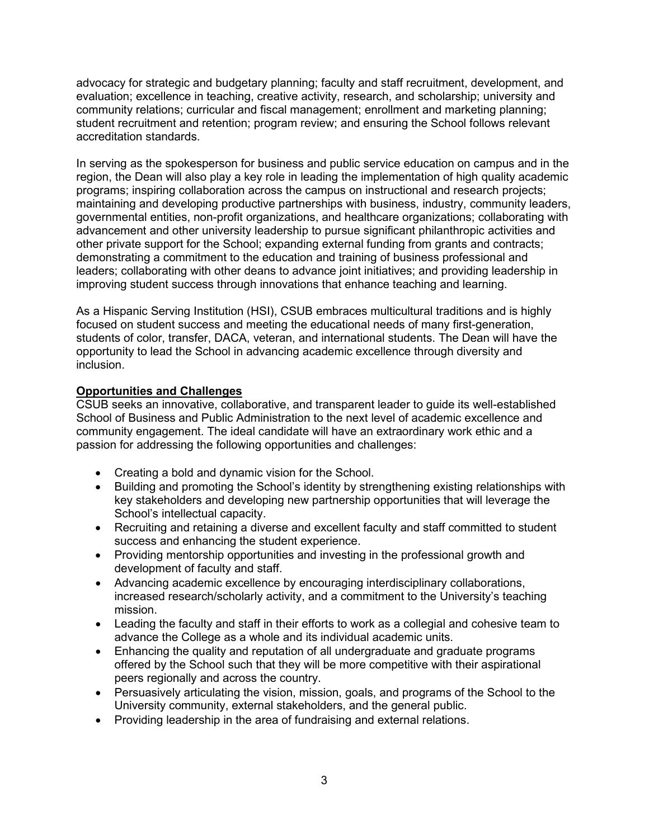advocacy for strategic and budgetary planning; faculty and staff recruitment, development, and evaluation; excellence in teaching, creative activity, research, and scholarship; university and community relations; curricular and fiscal management; enrollment and marketing planning; student recruitment and retention; program review; and ensuring the School follows relevant accreditation standards.

In serving as the spokesperson for business and public service education on campus and in the region, the Dean will also play a key role in leading the implementation of high quality academic programs; inspiring collaboration across the campus on instructional and research projects; maintaining and developing productive partnerships with business, industry, community leaders, governmental entities, non-profit organizations, and healthcare organizations; collaborating with advancement and other university leadership to pursue significant philanthropic activities and other private support for the School; expanding external funding from grants and contracts; demonstrating a commitment to the education and training of business professional and leaders; collaborating with other deans to advance joint initiatives; and providing leadership in improving student success through innovations that enhance teaching and learning.

As a Hispanic Serving Institution (HSI), CSUB embraces multicultural traditions and is highly focused on student success and meeting the educational needs of many first-generation, students of color, transfer, DACA, veteran, and international students. The Dean will have the opportunity to lead the School in advancing academic excellence through diversity and inclusion.

## **Opportunities and Challenges**

CSUB seeks an innovative, collaborative, and transparent leader to guide its well-established School of Business and Public Administration to the next level of academic excellence and community engagement. The ideal candidate will have an extraordinary work ethic and a passion for addressing the following opportunities and challenges:

- Creating a bold and dynamic vision for the School.
- Building and promoting the School's identity by strengthening existing relationships with key stakeholders and developing new partnership opportunities that will leverage the School's intellectual capacity.
- Recruiting and retaining a diverse and excellent faculty and staff committed to student success and enhancing the student experience.
- Providing mentorship opportunities and investing in the professional growth and development of faculty and staff.
- Advancing academic excellence by encouraging interdisciplinary collaborations, increased research/scholarly activity, and a commitment to the University's teaching mission.
- Leading the faculty and staff in their efforts to work as a collegial and cohesive team to advance the College as a whole and its individual academic units.
- Enhancing the quality and reputation of all undergraduate and graduate programs offered by the School such that they will be more competitive with their aspirational peers regionally and across the country.
- Persuasively articulating the vision, mission, goals, and programs of the School to the University community, external stakeholders, and the general public.
- Providing leadership in the area of fundraising and external relations.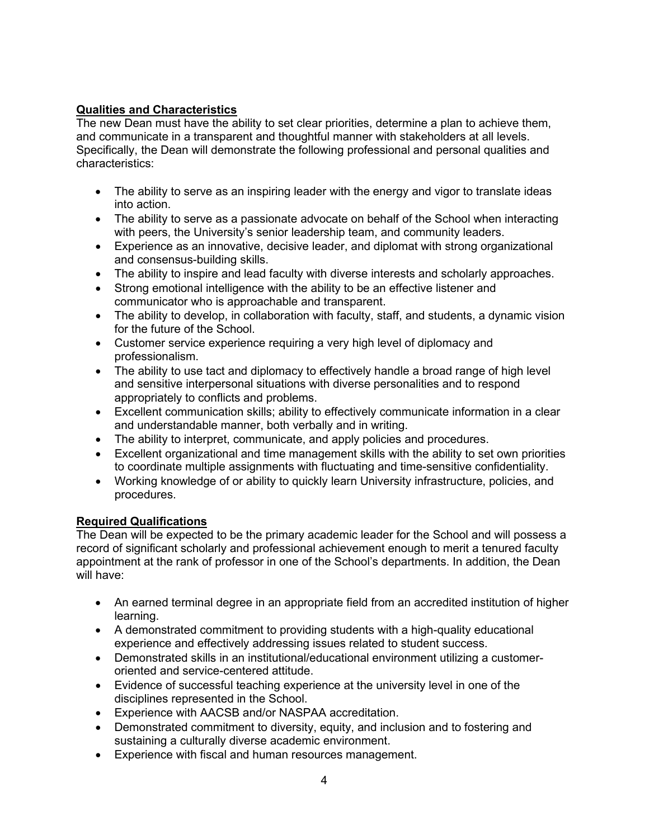# **Qualities and Characteristics**

The new Dean must have the ability to set clear priorities, determine a plan to achieve them, and communicate in a transparent and thoughtful manner with stakeholders at all levels. Specifically, the Dean will demonstrate the following professional and personal qualities and characteristics:

- The ability to serve as an inspiring leader with the energy and vigor to translate ideas into action.
- The ability to serve as a passionate advocate on behalf of the School when interacting with peers, the University's senior leadership team, and community leaders.
- Experience as an innovative, decisive leader, and diplomat with strong organizational and consensus-building skills.
- The ability to inspire and lead faculty with diverse interests and scholarly approaches.
- Strong emotional intelligence with the ability to be an effective listener and communicator who is approachable and transparent.
- The ability to develop, in collaboration with faculty, staff, and students, a dynamic vision for the future of the School.
- Customer service experience requiring a very high level of diplomacy and professionalism.
- The ability to use tact and diplomacy to effectively handle a broad range of high level and sensitive interpersonal situations with diverse personalities and to respond appropriately to conflicts and problems.
- Excellent communication skills; ability to effectively communicate information in a clear and understandable manner, both verbally and in writing.
- The ability to interpret, communicate, and apply policies and procedures.
- Excellent organizational and time management skills with the ability to set own priorities to coordinate multiple assignments with fluctuating and time-sensitive confidentiality.
- Working knowledge of or ability to quickly learn University infrastructure, policies, and procedures.

# **Required Qualifications**

The Dean will be expected to be the primary academic leader for the School and will possess a record of significant scholarly and professional achievement enough to merit a tenured faculty appointment at the rank of professor in one of the School's departments. In addition, the Dean will have:

- An earned terminal degree in an appropriate field from an accredited institution of higher learning.
- A demonstrated commitment to providing students with a high-quality educational experience and effectively addressing issues related to student success.
- Demonstrated skills in an institutional/educational environment utilizing a customeroriented and service-centered attitude.
- Evidence of successful teaching experience at the university level in one of the disciplines represented in the School.
- Experience with AACSB and/or NASPAA accreditation.
- Demonstrated commitment to diversity, equity, and inclusion and to fostering and sustaining a culturally diverse academic environment.
- Experience with fiscal and human resources management.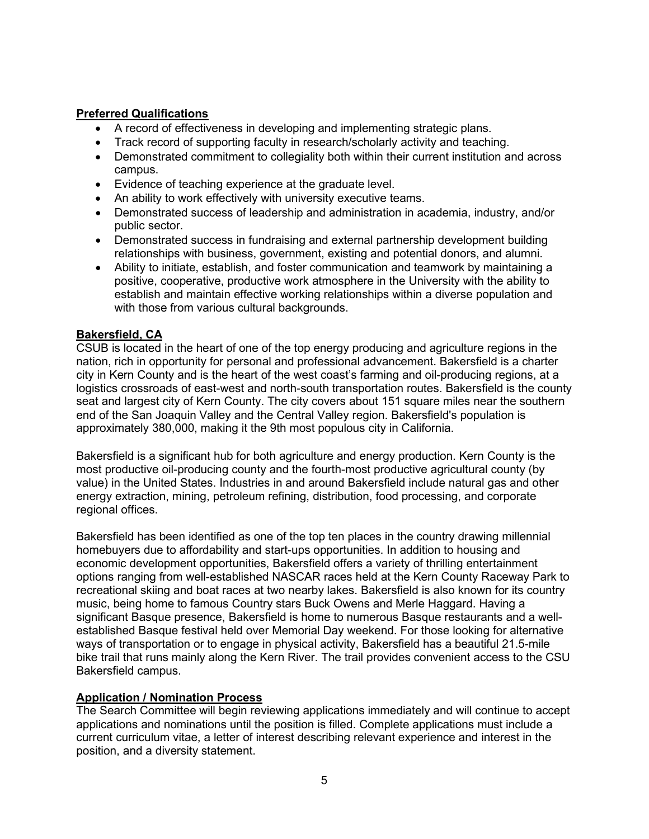## **Preferred Qualifications**

- A record of effectiveness in developing and implementing strategic plans.
- Track record of supporting faculty in research/scholarly activity and teaching.
- Demonstrated commitment to collegiality both within their current institution and across campus.
- Evidence of teaching experience at the graduate level.
- An ability to work effectively with university executive teams.
- Demonstrated success of leadership and administration in academia, industry, and/or public sector.
- Demonstrated success in fundraising and external partnership development building relationships with business, government, existing and potential donors, and alumni.
- Ability to initiate, establish, and foster communication and teamwork by maintaining a positive, cooperative, productive work atmosphere in the University with the ability to establish and maintain effective working relationships within a diverse population and with those from various cultural backgrounds.

## **Bakersfield, CA**

CSUB is located in the heart of one of the top energy producing and agriculture regions in the nation, rich in opportunity for personal and professional advancement. Bakersfield is a charter city in Kern County and is the heart of the west coast's farming and oil-producing regions, at a logistics crossroads of east-west and north-south transportation routes. Bakersfield is the county seat and largest city of Kern County. The city covers about 151 square miles near the southern end of the San Joaquin Valley and the Central Valley region. Bakersfield's population is approximately 380,000, making it the 9th most populous city in California.

Bakersfield is a significant hub for both agriculture and energy production. Kern County is the most productive oil-producing county and the fourth-most productive agricultural county (by value) in the United States. Industries in and around Bakersfield include natural gas and other energy extraction, mining, petroleum refining, distribution, food processing, and corporate regional offices.

Bakersfield has been identified as one of the top ten places in the country drawing millennial homebuyers due to affordability and start-ups opportunities. In addition to housing and economic development opportunities, Bakersfield offers a variety of thrilling entertainment options ranging from well-established NASCAR races held at the Kern County Raceway Park to recreational skiing and boat races at two nearby lakes. Bakersfield is also known for its country music, being home to famous Country stars Buck Owens and Merle Haggard. Having a significant Basque presence, Bakersfield is home to numerous Basque restaurants and a wellestablished Basque festival held over Memorial Day weekend. For those looking for alternative ways of transportation or to engage in physical activity, Bakersfield has a beautiful 21.5-mile bike trail that runs mainly along the Kern River. The trail provides convenient access to the CSU Bakersfield campus.

## **Application / Nomination Process**

The Search Committee will begin reviewing applications immediately and will continue to accept applications and nominations until the position is filled. Complete applications must include a current curriculum vitae, a letter of interest describing relevant experience and interest in the position, and a diversity statement.